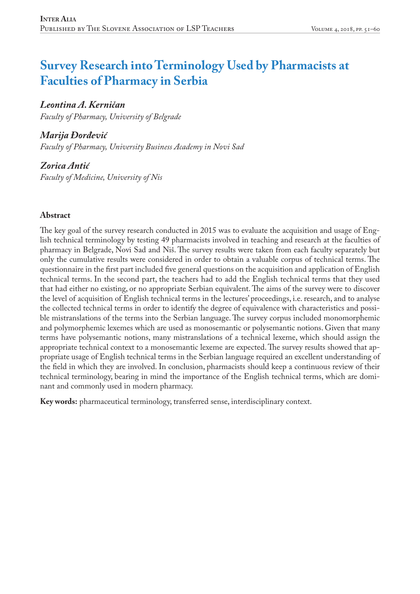# **Survey Research into Terminology Used by Pharmacists at Faculties of Pharmacy in Serbia**

# *Leontina A. Kerničan*

*Faculty of Pharmacy, University of Belgrade*

# *Marija Đorđević*

*Faculty of Pharmacy, University Business Academy in Novi Sad*

*Zorica Antić Faculty of Medicine, University of Nis*

#### **Abstract**

The key goal of the survey research conducted in 2015 was to evaluate the acquisition and usage of English technical terminology by testing 49 pharmacists involved in teaching and research at the faculties of pharmacy in Belgrade, Novi Sad and Niš. The survey results were taken from each faculty separately but only the cumulative results were considered in order to obtain a valuable corpus of technical terms. The questionnaire in the first part included five general questions on the acquisition and application of English technical terms. In the second part, the teachers had to add the English technical terms that they used that had either no existing, or no appropriate Serbian equivalent. The aims of the survey were to discover the level of acquisition of English technical terms in the lectures' proceedings, i.e. research, and to analyse the collected technical terms in order to identify the degree of equivalence with characteristics and possible mistranslations of the terms into the Serbian language. The survey corpus included monomorphemic and polymorphemic lexemes which are used as monosemantic or polysemantic notions. Given that many terms have polysemantic notions, many mistranslations of a technical lexeme, which should assign the appropriate technical context to a monosemantic lexeme are expected. The survey results showed that appropriate usage of English technical terms in the Serbian language required an excellent understanding of the field in which they are involved. In conclusion, pharmacists should keep a continuous review of their technical terminology, bearing in mind the importance of the English technical terms, which are dominant and commonly used in modern pharmacy.

**Key words:** pharmaceutical terminology, transferred sense, interdisciplinary context.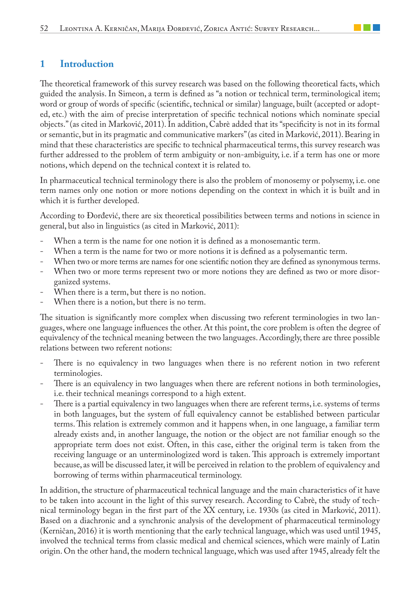## **1 Introduction**

The theoretical framework of this survey research was based on the following theoretical facts, which guided the analysis. In Simeon, a term is defined as "a notion or technical term, terminological item; word or group of words of specific (scientific, technical or similar) language, built (accepted or adopted, etc.) with the aim of precise interpretation of specific technical notions which nominate special objects." (as cited in Marković, 2011). In addition, Cabrè added that its "specificity is not in its formal or semantic, but in its pragmatic and communicative markers" (as cited in Marković, 2011). Bearing in mind that these characteristics are specific to technical pharmaceutical terms, this survey research was further addressed to the problem of term ambiguity or non-ambiguity, i.e. if a term has one or more notions, which depend on the technical context it is related to.

In pharmaceutical technical terminology there is also the problem of monosemy or polysemy, i.e. one term names only one notion or more notions depending on the context in which it is built and in which it is further developed.

According to Đorđević, there are six theoretical possibilities between terms and notions in science in general, but also in linguistics (as cited in Marković, 2011):

- When a term is the name for one notion it is defined as a monosemantic term.
- When a term is the name for two or more notions it is defined as a polysemantic term.
- When two or more terms are names for one scientific notion they are defined as synonymous terms.
- When two or more terms represent two or more notions they are defined as two or more disorganized systems.
- When there is a term, but there is no notion.
- When there is a notion, but there is no term.

The situation is significantly more complex when discussing two referent terminologies in two languages, where one language influences the other. At this point, the core problem is often the degree of equivalency of the technical meaning between the two languages. Accordingly, there are three possible relations between two referent notions:

- There is no equivalency in two languages when there is no referent notion in two referent terminologies.
- There is an equivalency in two languages when there are referent notions in both terminologies, i.e. their technical meanings correspond to a high extent.
- There is a partial equivalency in two languages when there are referent terms, i.e. systems of terms in both languages, but the system of full equivalency cannot be established between particular terms. This relation is extremely common and it happens when, in one language, a familiar term already exists and, in another language, the notion or the object are not familiar enough so the appropriate term does not exist. Often, in this case, either the original term is taken from the receiving language or an unterminologized word is taken. This approach is extremely important because, as will be discussed later, it will be perceived in relation to the problem of equivalency and borrowing of terms within pharmaceutical terminology.

In addition, the structure of pharmaceutical technical language and the main characteristics of it have to be taken into account in the light of this survey research. According to Cabrè, the study of technical terminology began in the first part of the XX century, i.e. 1930s (as cited in Marković, 2011). Based on a diachronic and a synchronic analysis of the development of pharmaceutical terminology (Kerničan, 2016) it is worth mentioning that the early technical language, which was used until 1945, involved the technical terms from classic medical and chemical sciences, which were mainly of Latin origin. On the other hand, the modern technical language, which was used after 1945, already felt the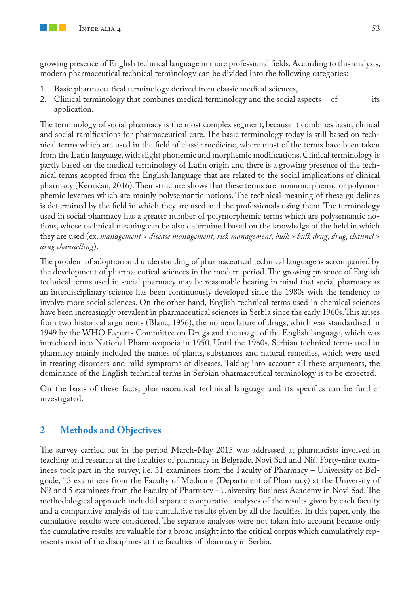growing presence of English technical language in more professional fields. According to this analysis, modern pharmaceutical technical terminology can be divided into the following categories:

- 1. Basic pharmaceutical terminology derived from classic medical sciences,
- 2. Clinical terminology that combines medical terminology and the social aspects of its application.

The terminology of social pharmacy is the most complex segment, because it combines basic, clinical and social ramifications for pharmaceutical care. The basic terminology today is still based on technical terms which are used in the field of classic medicine, where most of the terms have been taken from the Latin language, with slight phonemic and morphemic modifications. Clinical terminology is partly based on the medical terminology of Latin origin and there is a growing presence of the technical terms adopted from the English language that are related to the social implications of clinical pharmacy (Kerničan, 2016). Their structure shows that these terms are monomorphemic or polymorphemic lexemes which are mainly polysemantic notions. The technical meaning of these guidelines is determined by the field in which they are used and the professionals using them. The terminology used in social pharmacy has a greater number of polymorphemic terms which are polysemantic notions, whose technical meaning can be also determined based on the knowledge of the field in which they are used (ex. *management > disease management, risk management, bulk > bulk drug; drug, channel > drug channelling*).

The problem of adoption and understanding of pharmaceutical technical language is accompanied by the development of pharmaceutical sciences in the modern period. The growing presence of English technical terms used in social pharmacy may be reasonable bearing in mind that social pharmacy as an interdisciplinary science has been continuously developed since the 1980s with the tendency to involve more social sciences. On the other hand, English technical terms used in chemical sciences have been increasingly prevalent in pharmaceutical sciences in Serbia since the early 1960s. This arises from two historical arguments (Blanc, 1956), the nomenclature of drugs, which was standardised in 1949 by the WHO Experts Committee on Drugs and the usage of the English language, which was introduced into National Pharmacopoeia in 1950. Until the 1960s, Serbian technical terms used in pharmacy mainly included the names of plants, substances and natural remedies, which were used in treating disorders and mild symptoms of diseases. Taking into account all these arguments, the dominance of the English technical terms in Serbian pharmaceutical terminology is to be expected.

On the basis of these facts, pharmaceutical technical language and its specifics can be further investigated.

#### **2 Methods and Objectives**

The survey carried out in the period March-May 2015 was addressed at pharmacists involved in teaching and research at the faculties of pharmacy in Belgrade, Novi Sad and Niš. Forty-nine examinees took part in the survey, i.e. 31 examinees from the Faculty of Pharmacy – University of Belgrade, 13 examinees from the Faculty of Medicine (Department of Pharmacy) at the University of Niš and 5 examinees from the Faculty of Pharmacy - University Business Academy in Novi Sad. The methodological approach included separate comparative analyses of the results given by each faculty and a comparative analysis of the cumulative results given by all the faculties. In this paper, only the cumulative results were considered. The separate analyses were not taken into account because only the cumulative results are valuable for a broad insight into the critical corpus which cumulatively represents most of the disciplines at the faculties of pharmacy in Serbia.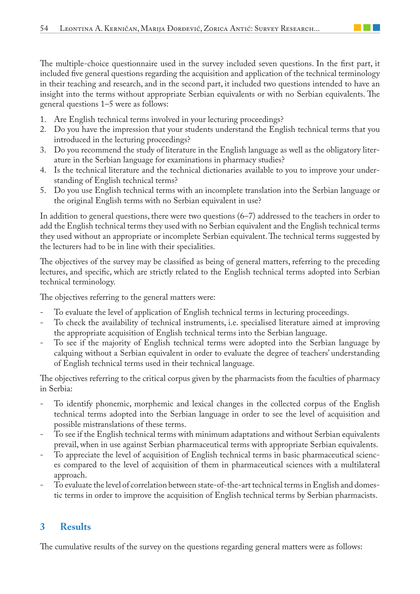The multiple-choice questionnaire used in the survey included seven questions. In the first part, it included five general questions regarding the acquisition and application of the technical terminology in their teaching and research, and in the second part, it included two questions intended to have an insight into the terms without appropriate Serbian equivalents or with no Serbian equivalents. The general questions 1–5 were as follows:

- 1. Are English technical terms involved in your lecturing proceedings?
- 2. Do you have the impression that your students understand the English technical terms that you introduced in the lecturing proceedings?
- 3. Do you recommend the study of literature in the English language as well as the obligatory literature in the Serbian language for examinations in pharmacy studies?
- 4. Is the technical literature and the technical dictionaries available to you to improve your understanding of English technical terms?
- 5. Do you use English technical terms with an incomplete translation into the Serbian language or the original English terms with no Serbian equivalent in use?

In addition to general questions, there were two questions (6–7) addressed to the teachers in order to add the English technical terms they used with no Serbian equivalent and the English technical terms they used without an appropriate or incomplete Serbian equivalent. The technical terms suggested by the lecturers had to be in line with their specialities.

The objectives of the survey may be classified as being of general matters, referring to the preceding lectures, and specific, which are strictly related to the English technical terms adopted into Serbian technical terminology.

The objectives referring to the general matters were:

- To evaluate the level of application of English technical terms in lecturing proceedings.
- To check the availability of technical instruments, i.e. specialised literature aimed at improving the appropriate acquisition of English technical terms into the Serbian language.
- To see if the majority of English technical terms were adopted into the Serbian language by calquing without a Serbian equivalent in order to evaluate the degree of teachers' understanding of English technical terms used in their technical language.

The objectives referring to the critical corpus given by the pharmacists from the faculties of pharmacy in Serbia:

- To identify phonemic, morphemic and lexical changes in the collected corpus of the English technical terms adopted into the Serbian language in order to see the level of acquisition and possible mistranslations of these terms.
- To see if the English technical terms with minimum adaptations and without Serbian equivalents prevail, when in use against Serbian pharmaceutical terms with appropriate Serbian equivalents.
- To appreciate the level of acquisition of English technical terms in basic pharmaceutical sciences compared to the level of acquisition of them in pharmaceutical sciences with a multilateral approach.
- To evaluate the level of correlation between state-of-the-art technical terms in English and domestic terms in order to improve the acquisition of English technical terms by Serbian pharmacists.

# **3 Results**

The cumulative results of the survey on the questions regarding general matters were as follows: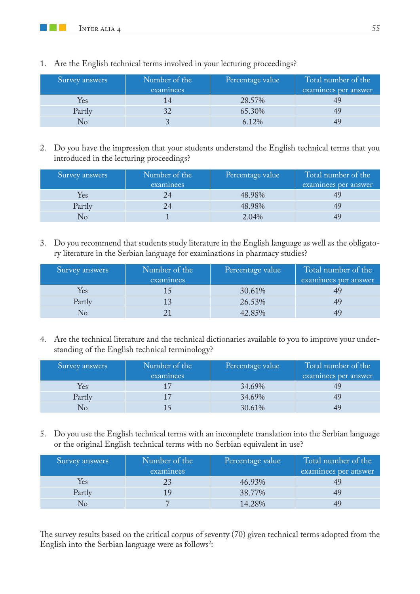**The Contract State** 

| Survey answers | Number of the<br>examinees | Percentage value | Total number of the<br>examinees per answer |
|----------------|----------------------------|------------------|---------------------------------------------|
| Yes            |                            | 28.57%           |                                             |
| Partly         |                            | 65.30%           |                                             |
|                |                            | 6.12%            |                                             |

1. Are the English technical terms involved in your lecturing proceedings?

2. Do you have the impression that your students understand the English technical terms that you introduced in the lecturing proceedings?

| Survey answers | Number of the<br>examinees | Percentage value | Total number of the<br>examinees per answer |
|----------------|----------------------------|------------------|---------------------------------------------|
| Yes            | 24                         | 48.98%           |                                             |
| Partly         |                            | 48.98%           |                                             |
|                |                            | 2.04%            |                                             |

3. Do you recommend that students study literature in the English language as well as the obligatory literature in the Serbian language for examinations in pharmacy studies?

| Survey answers | Number of the<br>examinees | Percentage value | Total number of the<br>examinees per answer |
|----------------|----------------------------|------------------|---------------------------------------------|
| Yes            |                            | 30.61%           |                                             |
| Partly         |                            | 26.53%           |                                             |
|                |                            | 42.85%           |                                             |

4. Are the technical literature and the technical dictionaries available to you to improve your understanding of the English technical terminology?

| Survey answers | Number of the<br>examinees | Percentage value | Total number of the<br>examinees per answer |
|----------------|----------------------------|------------------|---------------------------------------------|
| Yes            |                            | 34.69%           |                                             |
| Partly         | 17                         | 34.69%           | 49                                          |
|                |                            | 30.61%           |                                             |

5. Do you use the English technical terms with an incomplete translation into the Serbian language or the original English technical terms with no Serbian equivalent in use?

| Survey answers | Number of the | Percentage value | Total number of the  |
|----------------|---------------|------------------|----------------------|
|                | examinees     |                  | examinees per answer |
| Yes            |               | 46.93%           |                      |
| Partly         |               | 38.77%           |                      |
|                |               | 14.28%           |                      |

The survey results based on the critical corpus of seventy (70) given technical terms adopted from the English into the Serbian language were as follows $\hat{ }$ :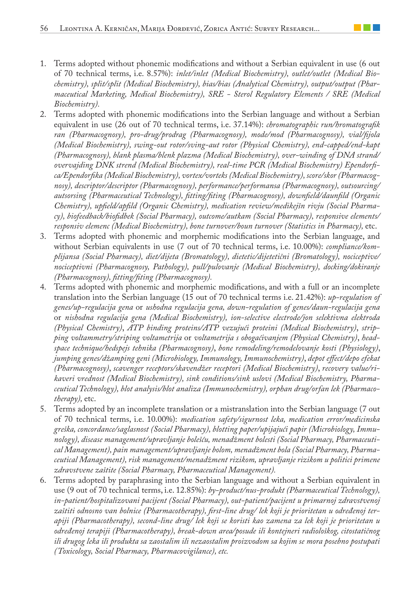- 1. Terms adopted without phonemic modifications and without a Serbian equivalent in use (6 out of 70 technical terms, i.e. 8.57%): *inlet/inlet (Medical Biochemistry), outlet/outlet (Medical Biochemistry), split/split (Medical Biochemistry), bias/bias (Analytical Chemistry), output/output (Pharmaceutical Marketing, Medical Biochemistry), SRE - Sterol Regulatory Elements / SRE (Medical Biochemistry).*
- 2. Terms adopted with phonemic modifications into the Serbian language and without a Serbian equivalent in use (26 out of 70 technical terms, i.e. 37.14%): *chromatographic run/hromatografik ran (Pharmacognosy), pro-drug/prodrag (Pharmacognosy), mode/mod (Pharmacognosy), vial/fijola (Medical Biochemistry), swing-out rotor/sving-aut rotor (Physical Chemistry), end-capped/end-kapt (Pharmacognosy), blank plasma/blenk plazma (Medical Biochemistry), over-winding of DNA strand/ overvajding DNK strend (Medical Biochemistry), real-time PCR (Medical Biochemistry) Ependorfica/Ependorfika (Medical Biochemistry), vortex/vorteks (Medical Biochemistry), score/skor (Pharmacognosy), descriptor/descriptor (Pharmacognosy), performance/performansa (Pharmacognosy), outsourcing/ autsorsing (Pharmaceutical Technology), fitting/fiting (Pharmacognosy), downfield/daunfild (Organic Chemistry), upfield/apfild (Organic Chemistry), medication review/medikejšn rivju (Social Pharmacy), biofeedback/biofidbek (Social Pharmacy), outcome/autkam (Social Pharmacy), responsive elements/ responsiv elemenc (Medical Biochemistry), bone turnover/boun turnover (Statistics in Pharmacy),* etc.
- 3. Terms adopted with phonemic and morphemic modifications into the Serbian language, and without Serbian equivalents in use (7 out of 70 technical terms, i.e. 10.00%): *compliance/komplijansa (Social Pharmacy), diet/dijeta (Bromatology), dietetic/dijetetični (Bromatology), nociceptive/ nociceptivni (Pharmacognosy, Pathology), pull/pulovanje (Medical Biochemistry), docking/dokiranje (Pharmacognosy), fitting/fiting (Pharmacognosy).*
- 4. Terms adopted with phonemic and morphemic modifications, and with a full or an incomplete translation into the Serbian language (15 out of 70 technical terms i.e. 21.42%): *up-regulation of genes/up-regulacija gena* or *ushodna regulacija gena, down-regulation of genes/daun-regulacija gena* or *nishodna regulacija gena (Medical Biochemistry), ion-selective electrode/jon selektivna elektroda (Physical Chemistry)*, *ATP binding proteins/ATP vezujući proteini (Medical Biochemistry)*, *stripping voltammetry/striping voltametrija* or *voltametrija s obogaćivanjem (Physical Chemistry)*, *headspace technique/hedspejs tehnika (Pharmacognosy)*, *bone remodeling/remodelovanje kosti (Physiology)*, *jumping genes/džamping geni (Microbiology, Immunology, Immunochemistry)*, *depot effect/depo efekat (Pharmacognosy)*, *scavenger receptors/skavendžer receptori (Medical Biochemistry)*, *recovery value/rikaveri vrednost (Medical Biochemistry), sink conditions/sink uslovi (Medical Biochemistry, Pharmaceutical Technology), blot analysis/blot analiza (Immunochemistry), orphan drug/orfan lek (Pharmacotherapy),* etc.
- 5. Terms adopted by an incomplete translation or a mistranslation into the Serbian language (7 out of 70 technical terms, i.e. 10.00%): *medication safety/sigurnost leka, medication error/medicinska greška, concordance/saglasnost (Social Pharmacy), blotting paper/upijajući papir (Microbiology, Immunology), disease management/upravljanje bolešću, menadžment bolesti (Social Pharmacy, Pharmaceutical Management), pain management/upravljanje bolom, menadžment bola (Social Pharmacy, Pharmaceutical Management), risk management/menadžment rizikom, upravljanje rizikom u politici primene zdravstvene zaštite (Social Pharmacy, Pharmaceutical Management).*
- 6. Terms adopted by paraphrasing into the Serbian language and without a Serbian equivalent in use (9 out of 70 technical terms, i.e. 12.85%): *by-product/nus-produkt (Pharmaceutical Technology), in-patient/hospitalizovani pacijent (Social Pharmacy), out-patient/pacijent u primarnoj zdravstvenoj zaštiti odnosno van bolnice (Pharmacotherapy), first-line drug/ lek koji je prioritetan u određenoj terapiji (Pharmacotherapy), second-line drug/ lek koji se koristi kao zamena za lek koji je prioritetan u određenoj terapiji (Pharmacotherapy), break-down area/posude ili kontejneri radiološkog, citostatičnog ili drugog leka ili produkta sa zaostalim ili nezaostalim proizvodom sa kojim se mora posebno postupati (Toxicology, Social Pharmacy, Pharmacovigilance), etc.*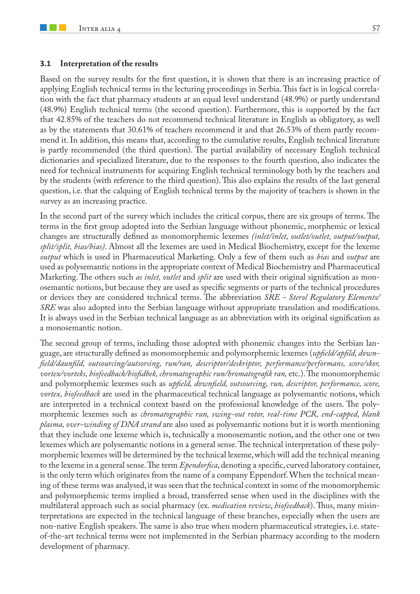#### **3.1 Interpretation of the results**

Based on the survey results for the first question, it is shown that there is an increasing practice of applying English technical terms in the lecturing proceedings in Serbia. This fact is in logical correlation with the fact that pharmacy students at an equal level understand (48.9%) or partly understand (48.9%) English technical terms (the second question). Furthermore, this is supported by the fact that 42.85% of the teachers do not recommend technical literature in English as obligatory, as well as by the statements that 30.61% of teachers recommend it and that 26.53% of them partly recommend it. In addition, this means that, according to the cumulative results, English technical literature is partly recommended (the third question). The partial availability of necessary English technical dictionaries and specialized literature, due to the responses to the fourth question, also indicates the need for technical instruments for acquiring English technical terminology both by the teachers and by the students (with reference to the third question). This also explains the results of the last general question, i.e. that the calquing of English technical terms by the majority of teachers is shown in the survey as an increasing practice.

In the second part of the survey which includes the critical corpus, there are six groups of terms. The terms in the first group adopted into the Serbian language without phonemic, morphemic or lexical changes are structurally defined as monomorphemic lexemes *(inlet/inlet, outlet/outlet, output/output, split/split, bias/bias)*. Almost all the lexemes are used in Medical Biochemistry, except for the lexeme *output* which is used in Pharmaceutical Marketing. Only a few of them such as *bias* and *output* are used as polysemantic notions in the appropriate context of Medical Biochemistry and Pharmaceutical Marketing. The others such *as inlet, outlet* and *split* are used with their original signification as monosemantic notions, but because they are used as specific segments or parts of the technical procedures or devices they are considered technical terms. The abbreviation *SRE - Sterol Regulatory Elements/ SRE* was also adopted into the Serbian language without appropriate translation and modifications. It is always used in the Serbian technical language as an abbreviation with its original signification as a monosemantic notion.

The second group of terms, including those adopted with phonemic changes into the Serbian language, are structurally defined as monomorphemic and polymorphemic lexemes (*upfield/apfild, downfield/daunfild, outsourcing/autsorsing, run/ran, descriptor/deskriptor, performance/performans, score/skor, vortex/vorteks, biofeedback/biofidbek, chromatographic run/hromatografik ran,* etc.). The monomorphemic and polymorphemic lexemes such as *upfield, downfield, outsourcing, run, descriptor, performance, score, vortex, biofeedback* are used in the pharmaceutical technical language as polysemantic notions, which are interpreted in a technical context based on the professional knowledge of the users. The polymorphemic lexemes such as *chromatographic run, swing-out rotor, real-time PCR, end-capped, blank plasma, over-winding of DNA strand* are also used as polysemantic notions but it is worth mentioning that they include one lexeme which is, technically a monosemantic notion, and the other one or two lexemes which are polysemantic notions in a general sense. The technical interpretation of these polymorphemic lexemes will be determined by the technical lexeme, which will add the technical meaning to the lexeme in a general sense. The term *Ependorfica*, denoting a specific, curved laboratory container, is the only term which originates from the name of a company Eppendorf. When the technical meaning of these terms was analysed, it was seen that the technical context in some of the monomorphemic and polymorphemic terms implied a broad, transferred sense when used in the disciplines with the multilateral approach such as social pharmacy (ex. *medication review*, *biofeedback*). Thus, many misinterpretations are expected in the technical language of these branches, especially when the users are non-native English speakers. The same is also true when modern pharmaceutical strategies, i.e. stateof-the-art technical terms were not implemented in the Serbian pharmacy according to the modern development of pharmacy.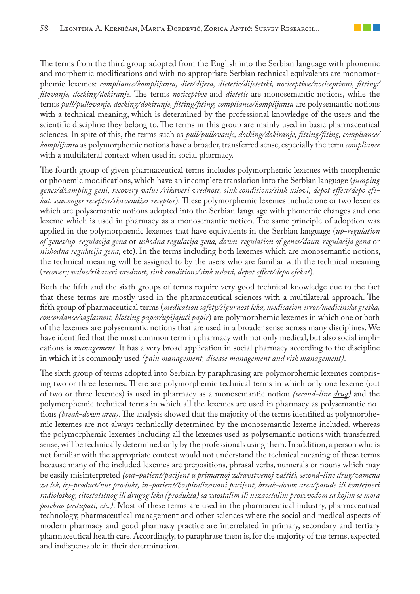The terms from the third group adopted from the English into the Serbian language with phonemic and morphemic modifications and with no appropriate Serbian technical equivalents are monomorphemic lexemes: *compliance/komplijansa, diet/dijeta, dietetic/dijetetski, nociceptive/nociceptivni, fitting/ fitovanje, docking/dokiranje.* The terms *nociceptive* and *dietetic* are monosemantic notions, while the terms *pull/pullovanje, docking/dokiranje, fitting/fiting, compliance/komplijansa* are polysemantic notions with a technical meaning, which is determined by the professional knowledge of the users and the scientific discipline they belong to. The terms in this group are mainly used in basic pharmaceutical sciences. In spite of this, the terms such as *pull/pullovanje, docking/dokiranje, fitting/fiting, compliance/ komplijansa* as polymorphemic notions have a broader, transferred sense, especially the term *compliance* with a multilateral context when used in social pharmacy.

The fourth group of given pharmaceutical terms includes polymorphemic lexemes with morphemic or phonemic modifications, which have an incomplete translation into the Serbian language (*jumping genes/džamping geni, recovery value /rikaveri vrednost, sink conditions/sink uslovi, depot effect/depo efekat, scavenger receptor/skavendžer receptor*)*.* These polymorphemic lexemes include one or two lexemes which are polysemantic notions adopted into the Serbian language with phonemic changes and one lexeme which is used in pharmacy as a monosemantic notion. The same principle of adoption was applied in the polymorphemic lexemes that have equivalents in the Serbian language (*up-regulation of genes/up-regulacija gena* or *ushodna regulacija gena, down-regulation of genes/daun-regulacija gena* or *nishodna regulacija gena,* etc). In the terms including both lexemes which are monosemantic notions, the technical meaning will be assigned to by the users who are familiar with the technical meaning (*recovery value/rikaveri vrednost, sink conditions/sink uslovi, depot effect/depo efekat*).

Both the fifth and the sixth groups of terms require very good technical knowledge due to the fact that these terms are mostly used in the pharmaceutical sciences with a multilateral approach. The fifth group of pharmaceutical terms (*medication safety/sigurnost leka, medication error/medicinska greška, concordance/saglasnost, blotting paper/upijajući papir*) are polymorphemic lexemes in which one or both of the lexemes are polysemantic notions that are used in a broader sense across many disciplines. We have identified that the most common term in pharmacy with not only medical, but also social implications is *management*. It has a very broad application in social pharmacy according to the discipline in which it is commonly used *(pain management, disease management and risk management)*.

The sixth group of terms adopted into Serbian by paraphrasing are polymorphemic lexemes comprising two or three lexemes. There are polymorphemic technical terms in which only one lexeme (out of two or three lexemes) is used in pharmacy as a monosemantic notion *(second-line drug)* and the polymorphemic technical terms in which all the lexemes are used in pharmacy as polysemantic notions *(break-down area)*. The analysis showed that the majority of the terms identified as polymorphemic lexemes are not always technically determined by the monosemantic lexeme included, whereas the polymorphemic lexemes including all the lexemes used as polysemantic notions with transferred sense, will be technically determined only by the professionals using them. In addition, a person who is not familiar with the appropriate context would not understand the technical meaning of these terms because many of the included lexemes are prepositions, phrasal verbs, numerals or nouns which may be easily misinterpreted *(out-patient/pacijent u primarnoj zdravstvenoj zaštiti, second-line drug/zamena za lek, by-product/nus produkt, in-patient/hospitalizovani pacijent, break-down area/posude ili kontejneri radiološkog, citostatičnog ili drugog leka (produkta) sa zaostalim ili nezaostalim proizvodom sa kojim se mora posebno postupati, etc.)*. Most of these terms are used in the pharmaceutical industry, pharmaceutical technology, pharmaceutical management and other sciences where the social and medical aspects of modern pharmacy and good pharmacy practice are interrelated in primary, secondary and tertiary pharmaceutical health care. Accordingly, to paraphrase them is, for the majority of the terms, expected and indispensable in their determination.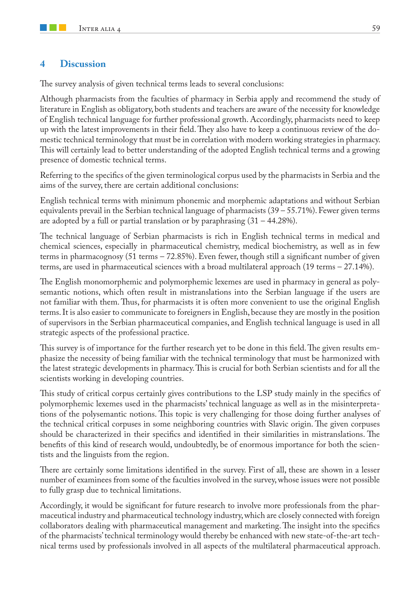### **4 Discussion**

The survey analysis of given technical terms leads to several conclusions:

Although pharmacists from the faculties of pharmacy in Serbia apply and recommend the study of literature in English as obligatory, both students and teachers are aware of the necessity for knowledge of English technical language for further professional growth. Accordingly, pharmacists need to keep up with the latest improvements in their field. They also have to keep a continuous review of the domestic technical terminology that must be in correlation with modern working strategies in pharmacy. This will certainly lead to better understanding of the adopted English technical terms and a growing presence of domestic technical terms.

Referring to the specifics of the given terminological corpus used by the pharmacists in Serbia and the aims of the survey, there are certain additional conclusions:

English technical terms with minimum phonemic and morphemic adaptations and without Serbian equivalents prevail in the Serbian technical language of pharmacists (39 – 55.71%). Fewer given terms are adopted by a full or partial translation or by paraphrasing  $(31 - 44.28\%)$ .

The technical language of Serbian pharmacists is rich in English technical terms in medical and chemical sciences, especially in pharmaceutical chemistry, medical biochemistry, as well as in few terms in pharmacognosy (51 terms – 72.85%). Even fewer, though still a significant number of given terms, are used in pharmaceutical sciences with a broad multilateral approach (19 terms – 27.14%).

The English monomorphemic and polymorphemic lexemes are used in pharmacy in general as polysemantic notions, which often result in mistranslations into the Serbian language if the users are not familiar with them. Thus, for pharmacists it is often more convenient to use the original English terms. It is also easier to communicate to foreigners in English, because they are mostly in the position of supervisors in the Serbian pharmaceutical companies, and English technical language is used in all strategic aspects of the professional practice.

This survey is of importance for the further research yet to be done in this field. The given results emphasize the necessity of being familiar with the technical terminology that must be harmonized with the latest strategic developments in pharmacy. This is crucial for both Serbian scientists and for all the scientists working in developing countries.

This study of critical corpus certainly gives contributions to the LSP study mainly in the specifics of polymorphemic lexemes used in the pharmacists' technical language as well as in the misinterpretations of the polysemantic notions. This topic is very challenging for those doing further analyses of the technical critical corpuses in some neighboring countries with Slavic origin. The given corpuses should be characterized in their specifics and identified in their similarities in mistranslations. The benefits of this kind of research would, undoubtedly, be of enormous importance for both the scientists and the linguists from the region.

There are certainly some limitations identified in the survey. First of all, these are shown in a lesser number of examinees from some of the faculties involved in the survey, whose issues were not possible to fully grasp due to technical limitations.

Accordingly, it would be significant for future research to involve more professionals from the pharmaceutical industry and pharmaceutical technology industry, which are closely connected with foreign collaborators dealing with pharmaceutical management and marketing. The insight into the specifics of the pharmacists' technical terminology would thereby be enhanced with new state-of-the-art technical terms used by professionals involved in all aspects of the multilateral pharmaceutical approach.